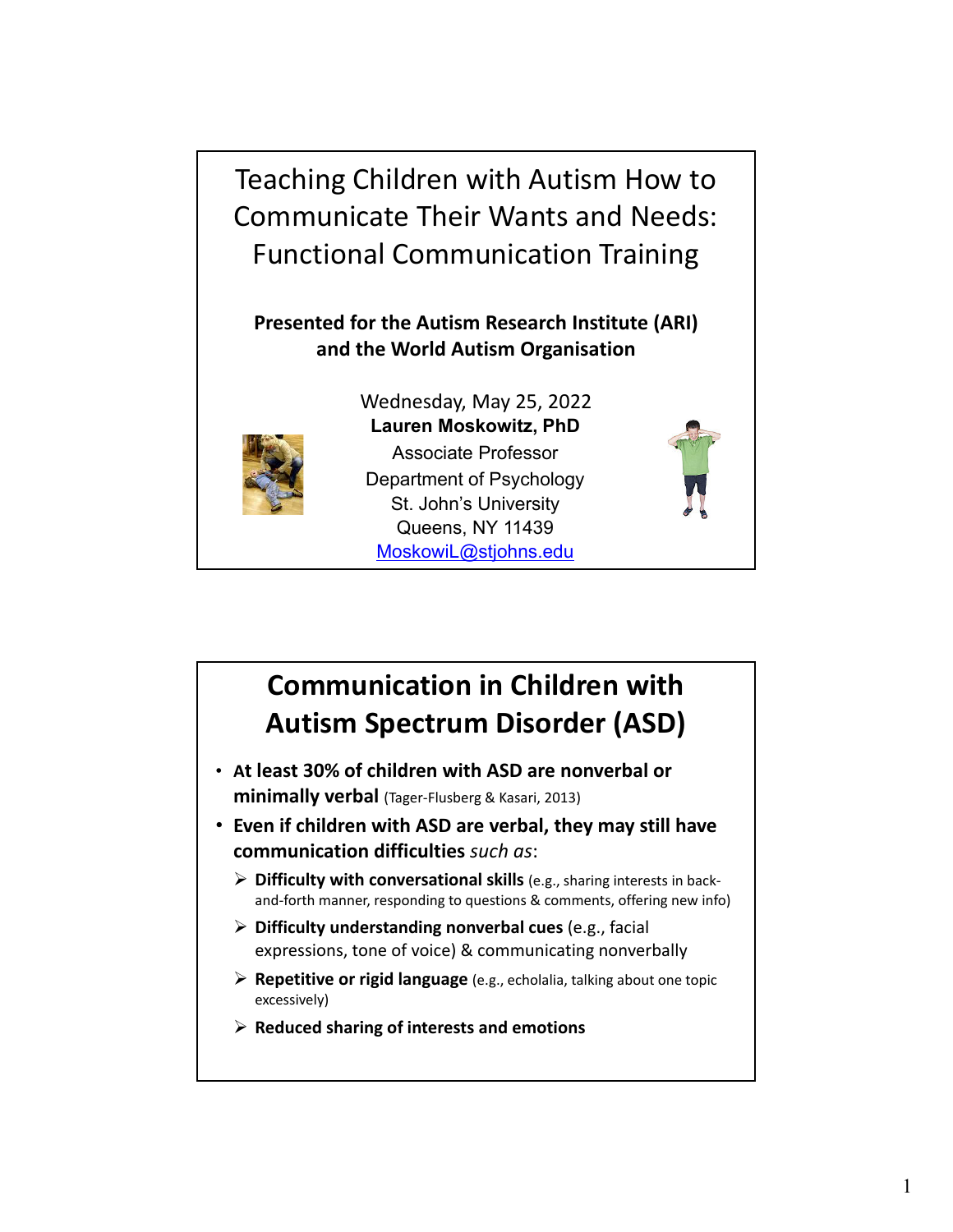Teaching Children with Autism How to Communicate Their Wants and Needs: Functional Communication Training

**Presented for the Autism Research Institute (ARI) and the World Autism Organisation**

Wednesday, May 25, 2022



**Lauren Moskowitz, PhD** Associate Professor Department of Psychology St. John's University Queens, NY 11439 MoskowiL@stjohns.edu



## **Communication in Children with Autism Spectrum Disorder (ASD)**

- ï **At least 30% of children with ASD are nonverbal or minimally verbal** (Tager‐Flusberg & Kasari, 2013)
- ï **Even if children with ASD are verbal, they may still have communication difficulties** *such as*:
	- **Difficulty with conversational skills** (e.g., sharing interests in back‐ and-forth manner, responding to questions & comments, offering new info)
	- **Difficulty understanding nonverbal cues** (e.g., facial expressions, tone of voice) & communicating nonverbally
	- **Repetitive or rigid language** (e.g., echolalia, talking about one topic excessively)
	- **Reduced sharing of interests and emotions**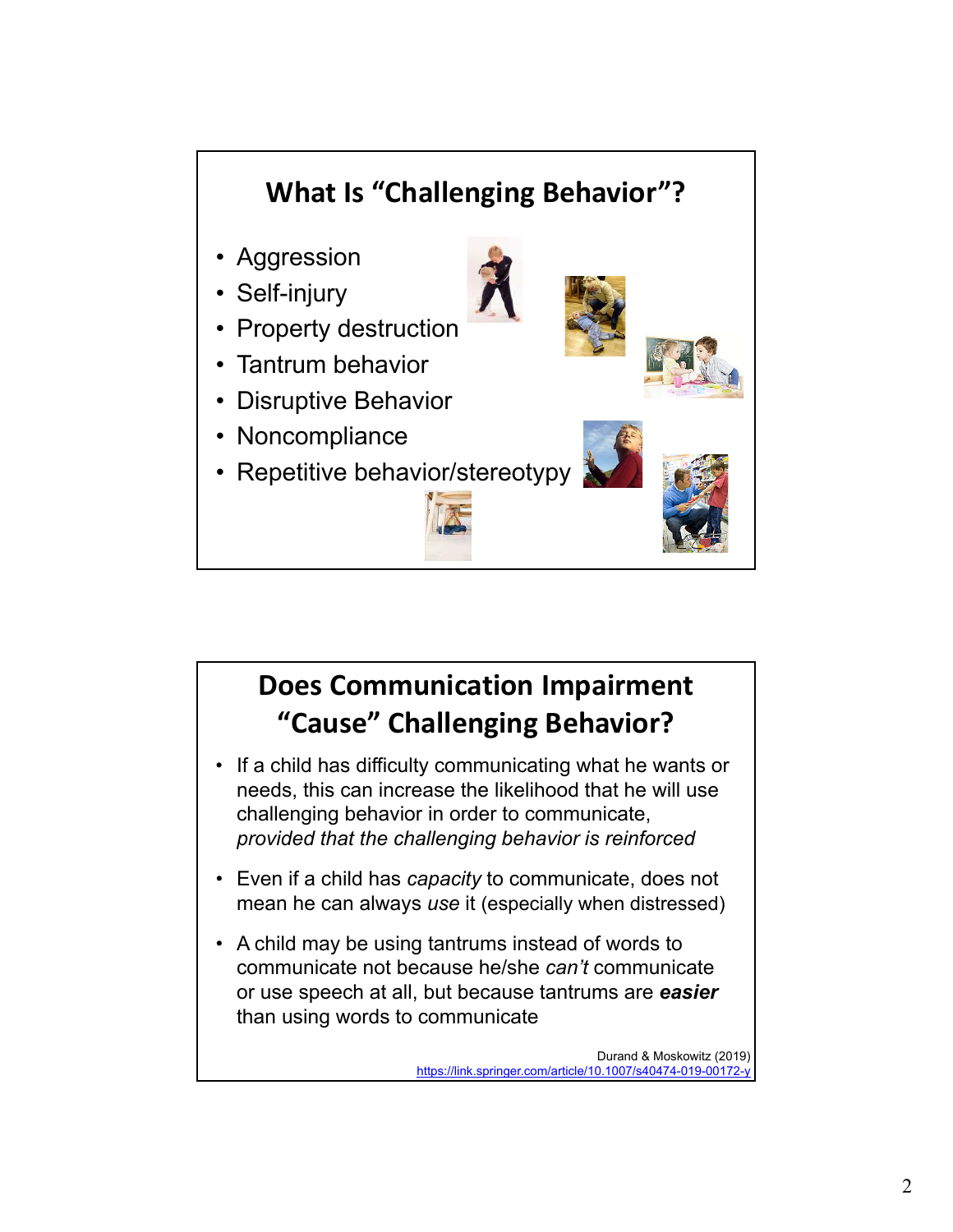

## **Does Communication Impairment "Cause" Challenging Behavior?**

- If a child has difficulty communicating what he wants or needs, this can increase the likelihood that he will use challenging behavior in order to communicate, *provided that the challenging behavior is reinforced*
- Even if a child has *capacity* to communicate, does not mean he can always *use* it (especially when distressed)
- A child may be using tantrums instead of words to communicate not because he/she *can't* communicate or use speech at all, but because tantrums are *easier* than using words to communicate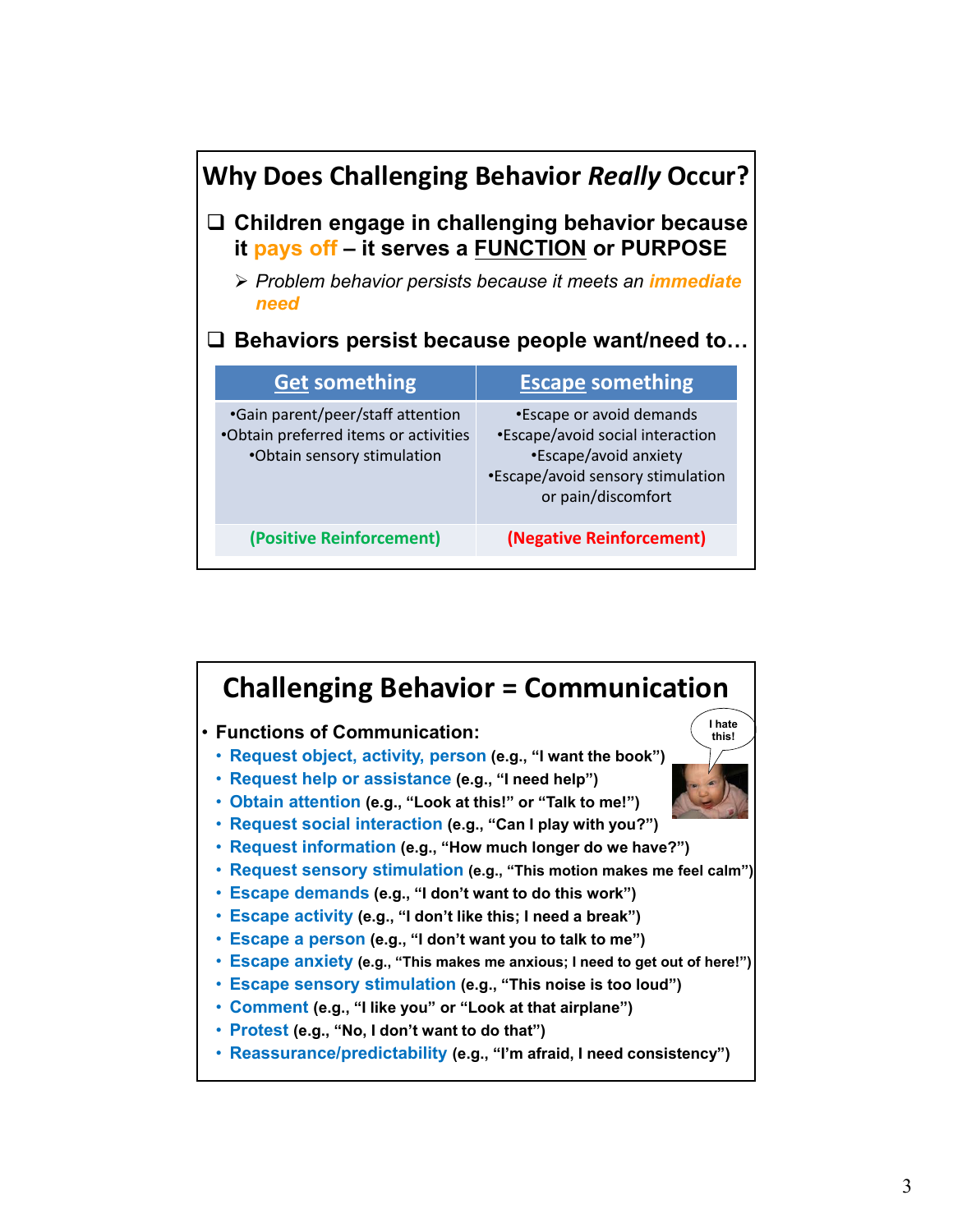| <b>Why Does Challenging Behavior Really Occur?</b>                                                      |                                                                            |                                                                                  |  |
|---------------------------------------------------------------------------------------------------------|----------------------------------------------------------------------------|----------------------------------------------------------------------------------|--|
| $\Box$ Children engage in challenging behavior because<br>it pays off - it serves a FUNCTION or PURPOSE |                                                                            |                                                                                  |  |
|                                                                                                         | > Problem behavior persists because it meets an <i>immediate</i><br>need   |                                                                                  |  |
| $\square$ Behaviors persist because people want/need to                                                 |                                                                            |                                                                                  |  |
|                                                                                                         | <b>Get something</b>                                                       | <b>Escape something</b>                                                          |  |
|                                                                                                         | •Gain parent/peer/staff attention<br>•Obtain preferred items or activities | *Escape or avoid demands<br>•Escape/avoid social interaction                     |  |
|                                                                                                         | •Obtain sensory stimulation                                                | •Escape/avoid anxiety<br>•Escape/avoid sensory stimulation<br>or pain/discomfort |  |

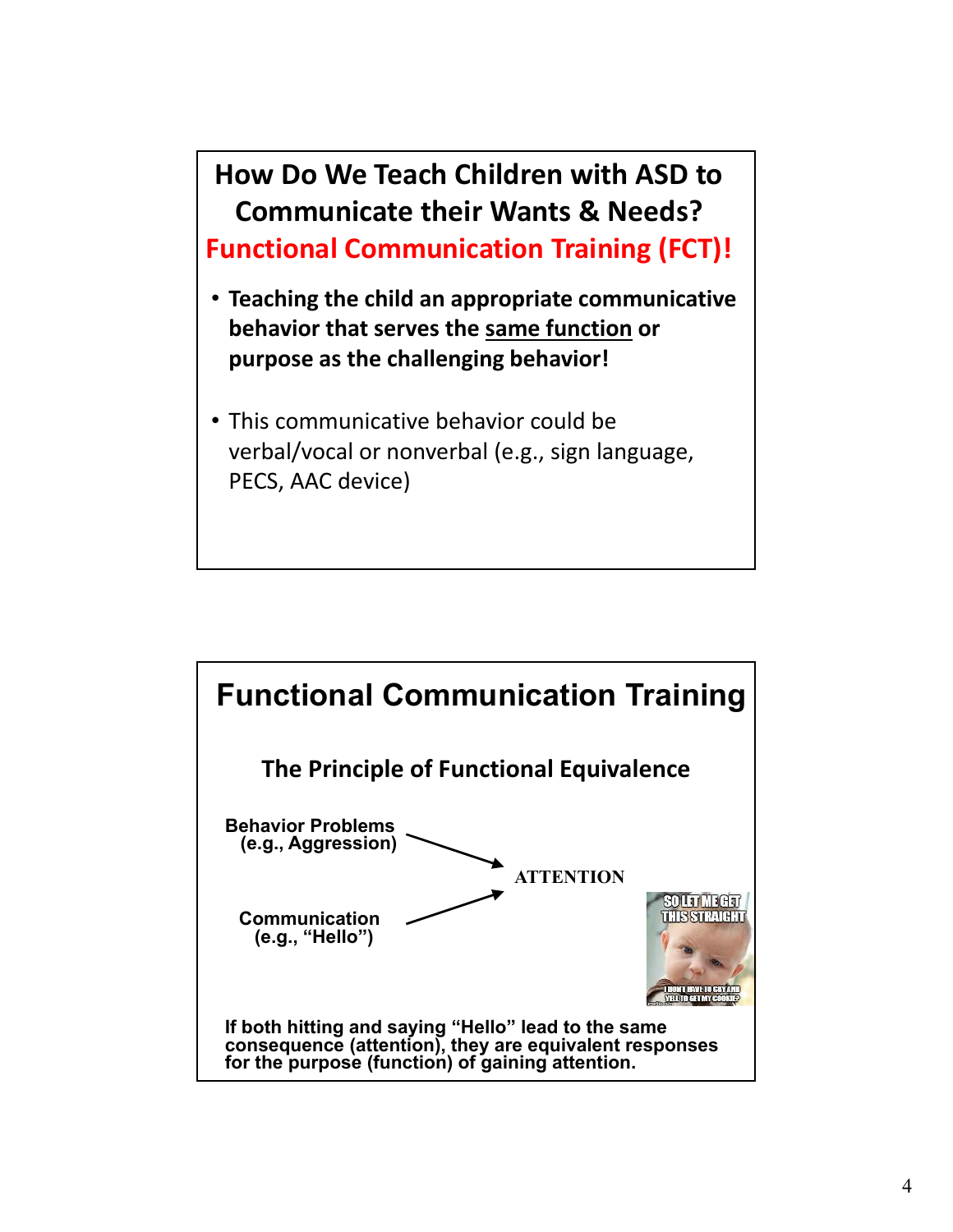

• This communicative behavior could be verbal/vocal or nonverbal (e.g., sign language, PECS, AAC device)

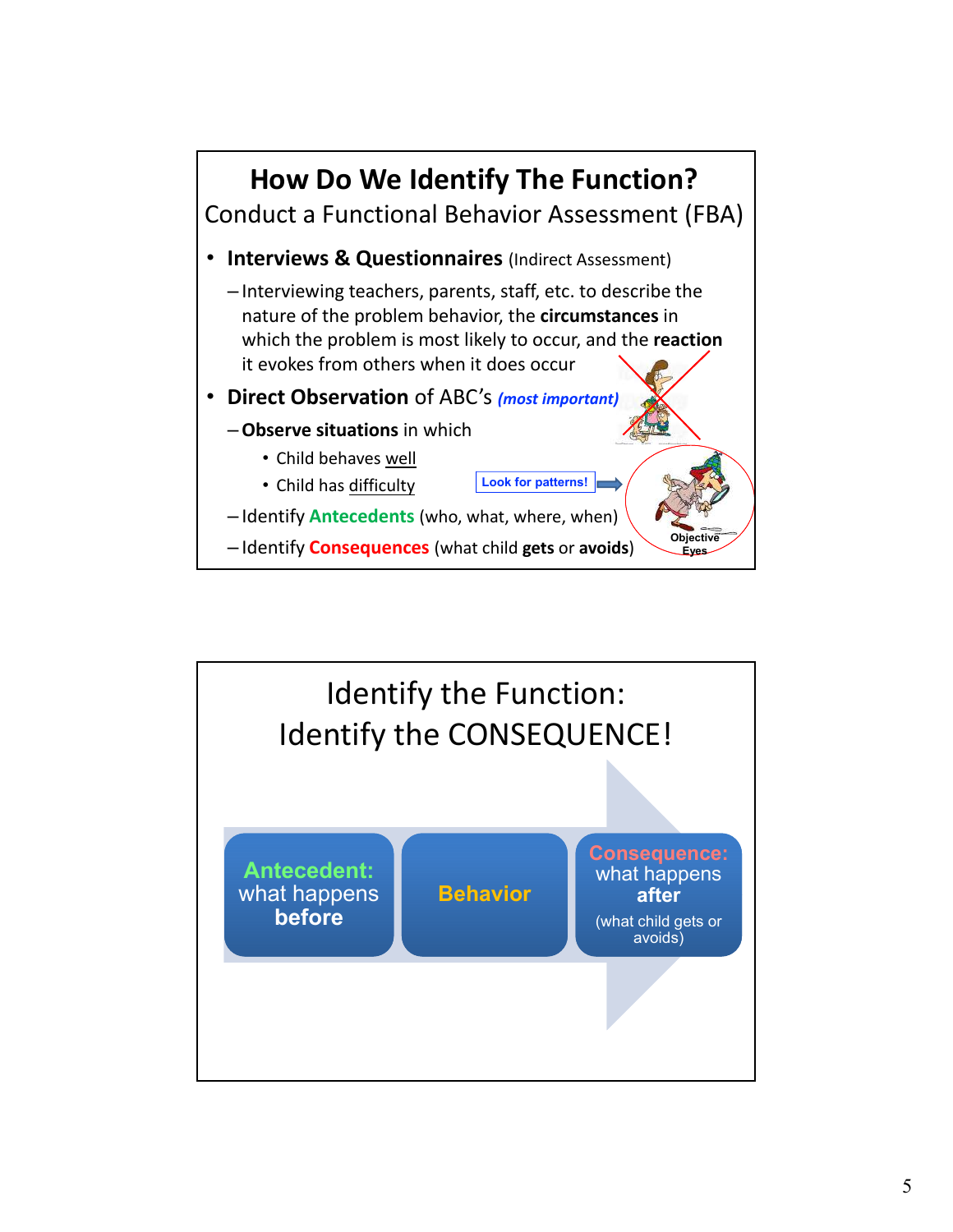

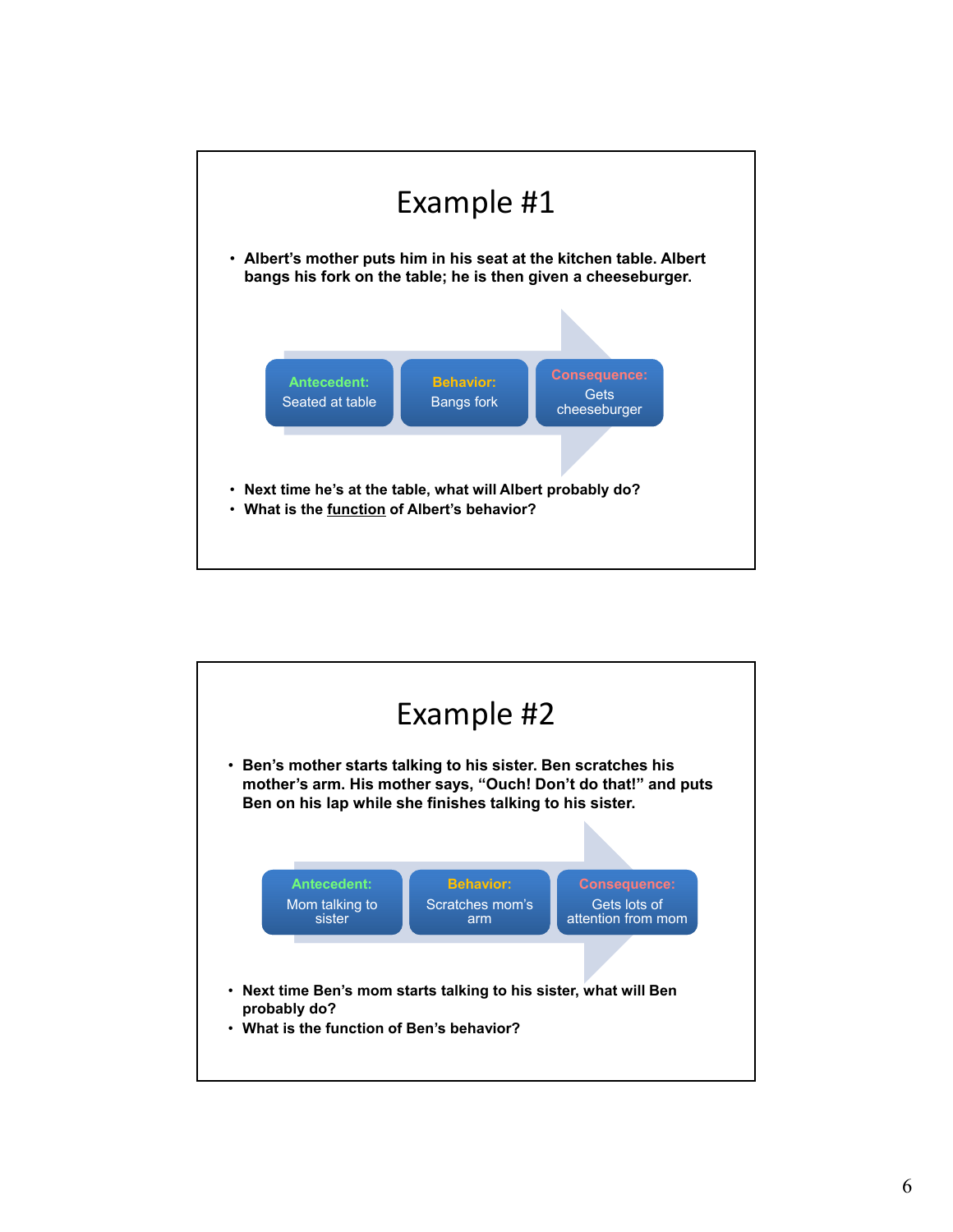

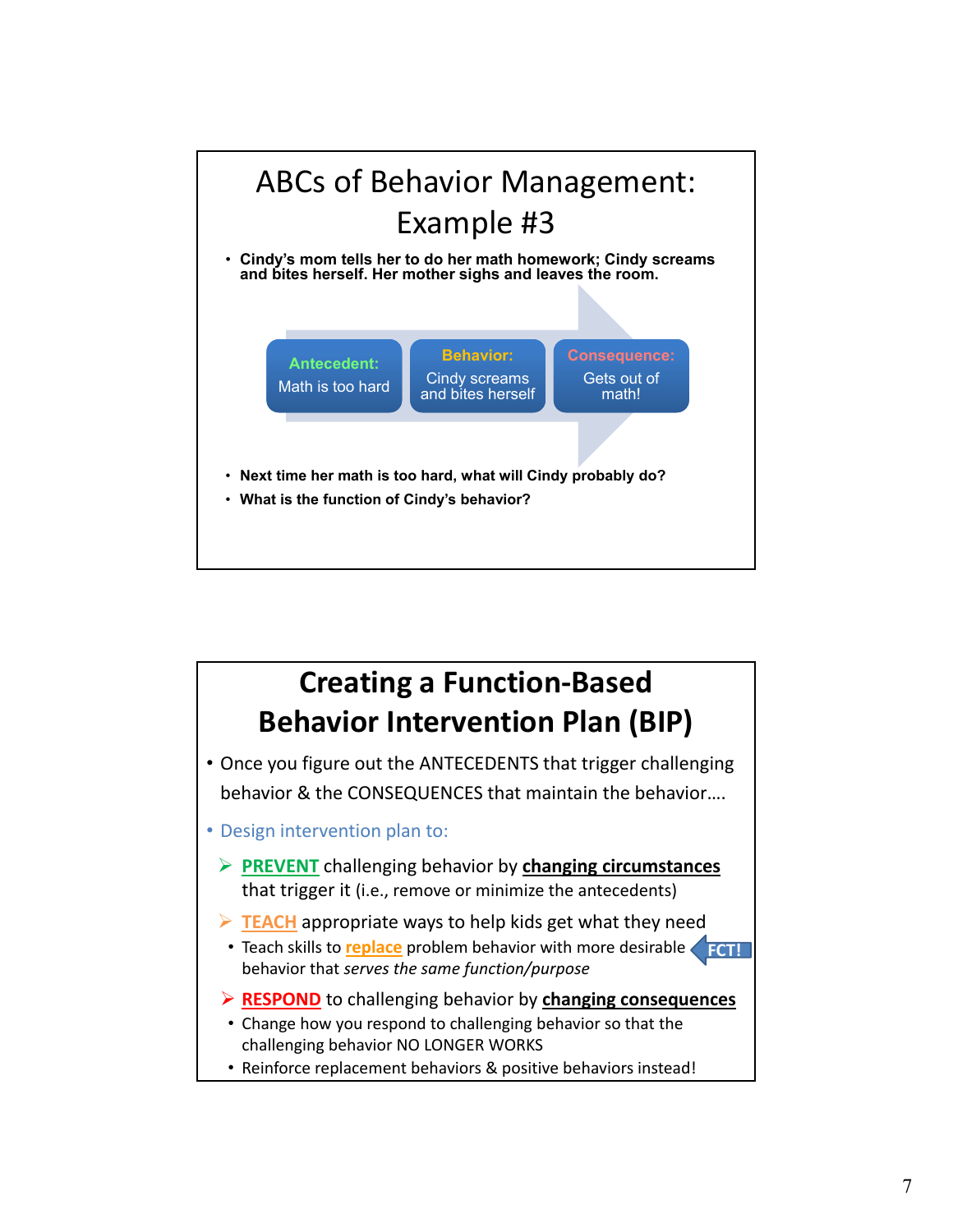

# **Creating a Function‐Based Behavior Intervention Plan (BIP)**

- Once you figure out the ANTECEDENTS that trigger challenging behavior & the CONSEQUENCES that maintain the behavior….
- Design intervention plan to:
	- **PREVENT** challenging behavior by **changing circumstances** that trigger it (i.e., remove or minimize the antecedents)
	- **FIFACH** appropriate ways to help kids get what they need
	- **Teach skills to replace** problem behavior with more desirable behavior that *serves the same function/purpose* **FCT!**
	- **RESPOND** to challenging behavior by **changing consequences**
	- Change how you respond to challenging behavior so that the challenging behavior NO LONGER WORKS
	- Reinforce replacement behaviors & positive behaviors instead!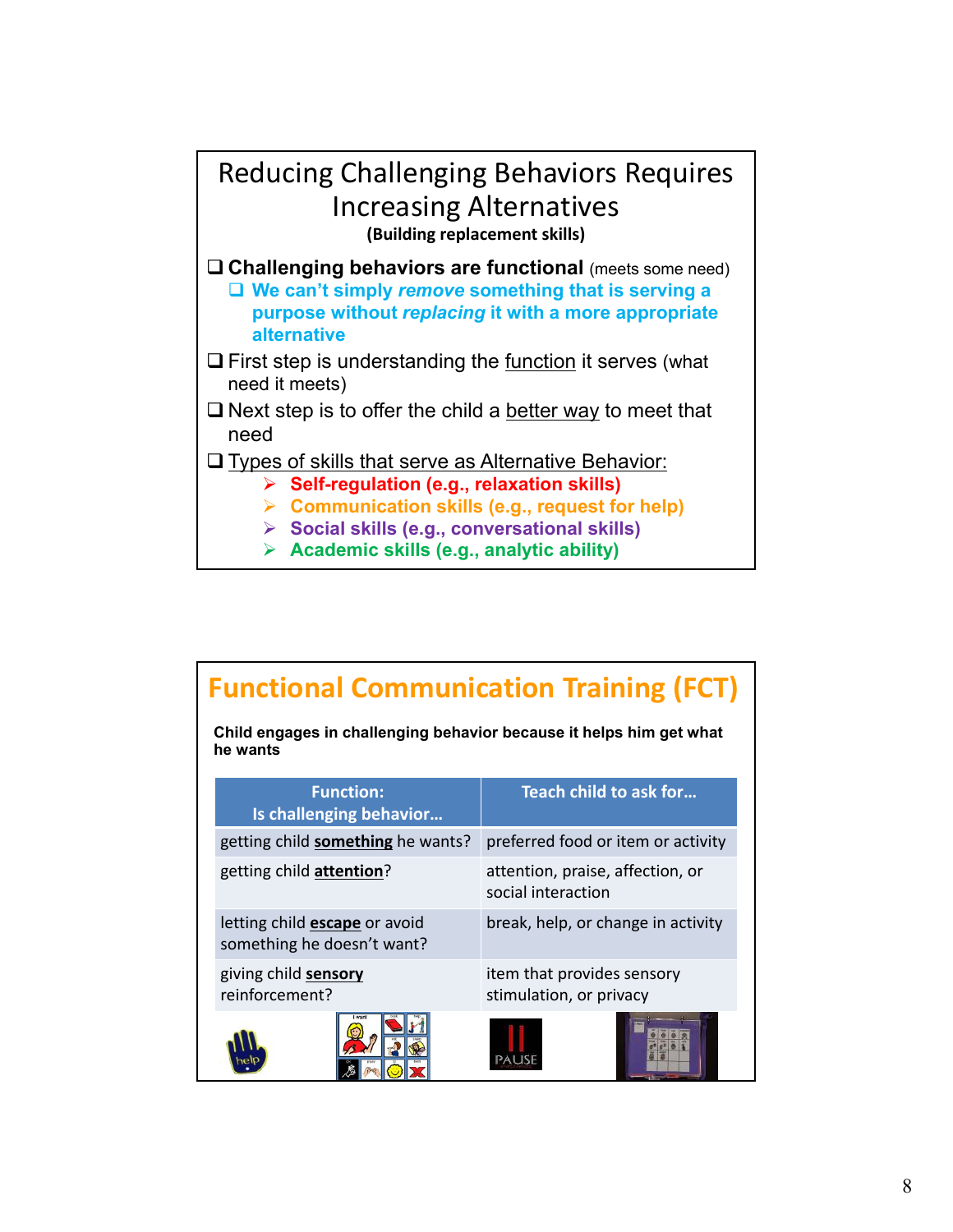### Reducing Challenging Behaviors Requires Increasing Alternatives **(Building replacement skills)**

- **Challenging behaviors are functional** (meets some need)
	- **We can't simply** *remove* **something that is serving a purpose without** *replacing* **it with a more appropriate alternative**
- $\Box$  First step is understanding the function it serves (what need it meets)
- $\Box$  Next step is to offer the child a better way to meet that need
- $\Box$  Types of skills that serve as Alternative Behavior:
	- **Self-regulation (e.g., relaxation skills)**
	- **Communication skills (e.g., request for help)**
	- **Social skills (e.g., conversational skills)**
	- **Academic skills (e.g., analytic ability)**

## **Functional Communication Training (FCT)**

**Child engages in challenging behavior because it helps him get what he wants**

| <b>Function:</b><br>Is challenging behavior                        | Teach child to ask for                                 |
|--------------------------------------------------------------------|--------------------------------------------------------|
| getting child something he wants?                                  | preferred food or item or activity                     |
| getting child attention?                                           | attention, praise, affection, or<br>social interaction |
| letting child <b>escape</b> or avoid<br>something he doesn't want? | break, help, or change in activity                     |
| giving child sensory<br>reinforcement?                             | item that provides sensory<br>stimulation, or privacy  |
|                                                                    |                                                        |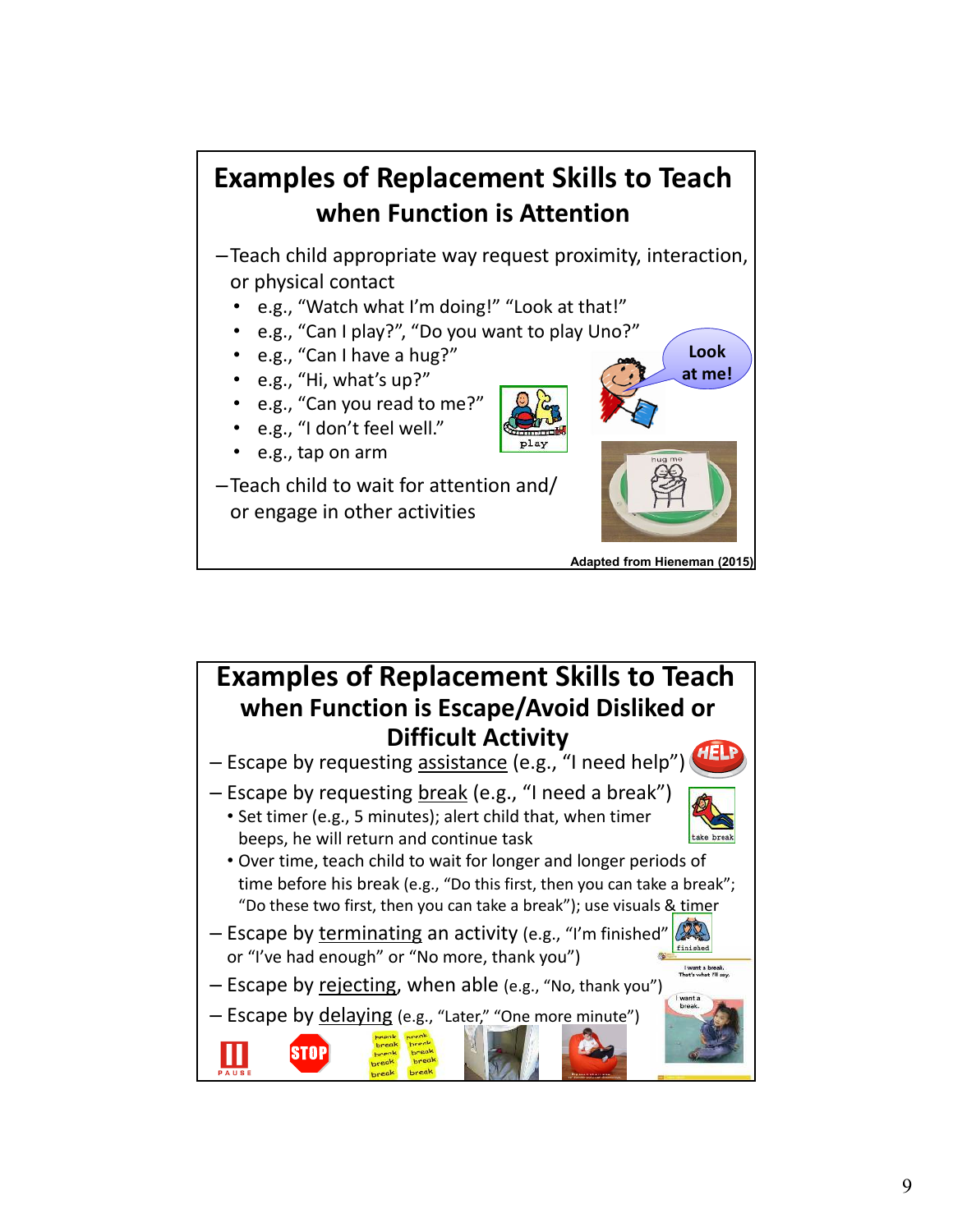## **Examples of Replacement Skills to Teach when Function is Attention**

–Teach child appropriate way request proximity, interaction, or physical contact

- ï e.g., "Watch what I'm doing!" "Look at that!"
- e.g., "Can I play?", "Do you want to play Uno?"
- e.g., "Can I have a hug?"
- e.g., "Hi, what's up?"
- e.g., "Can you read to me?"
- e.g., "I don't feel well."
- e.g., tap on arm

–Teach child to wait for attention and/ or engage in other activities



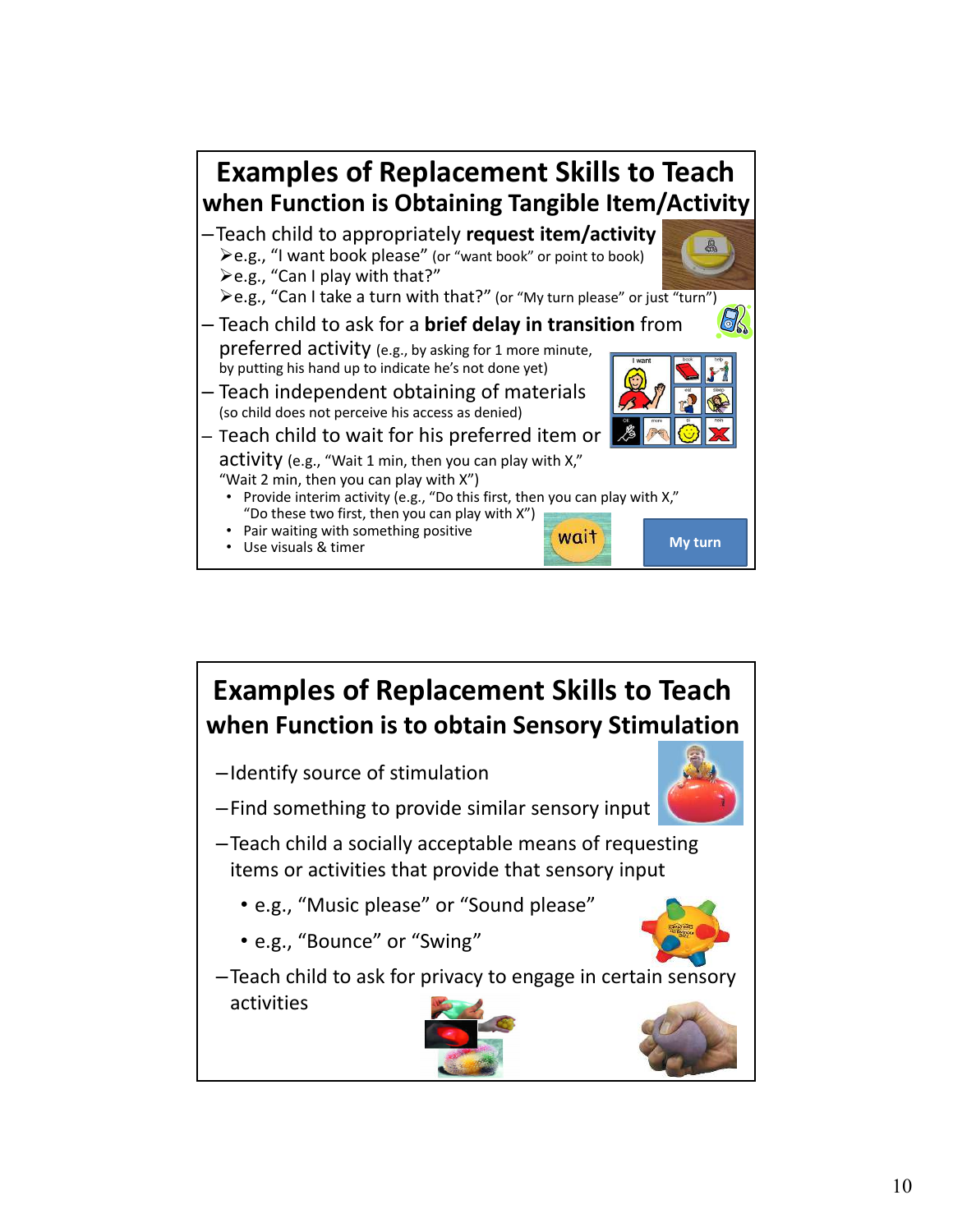

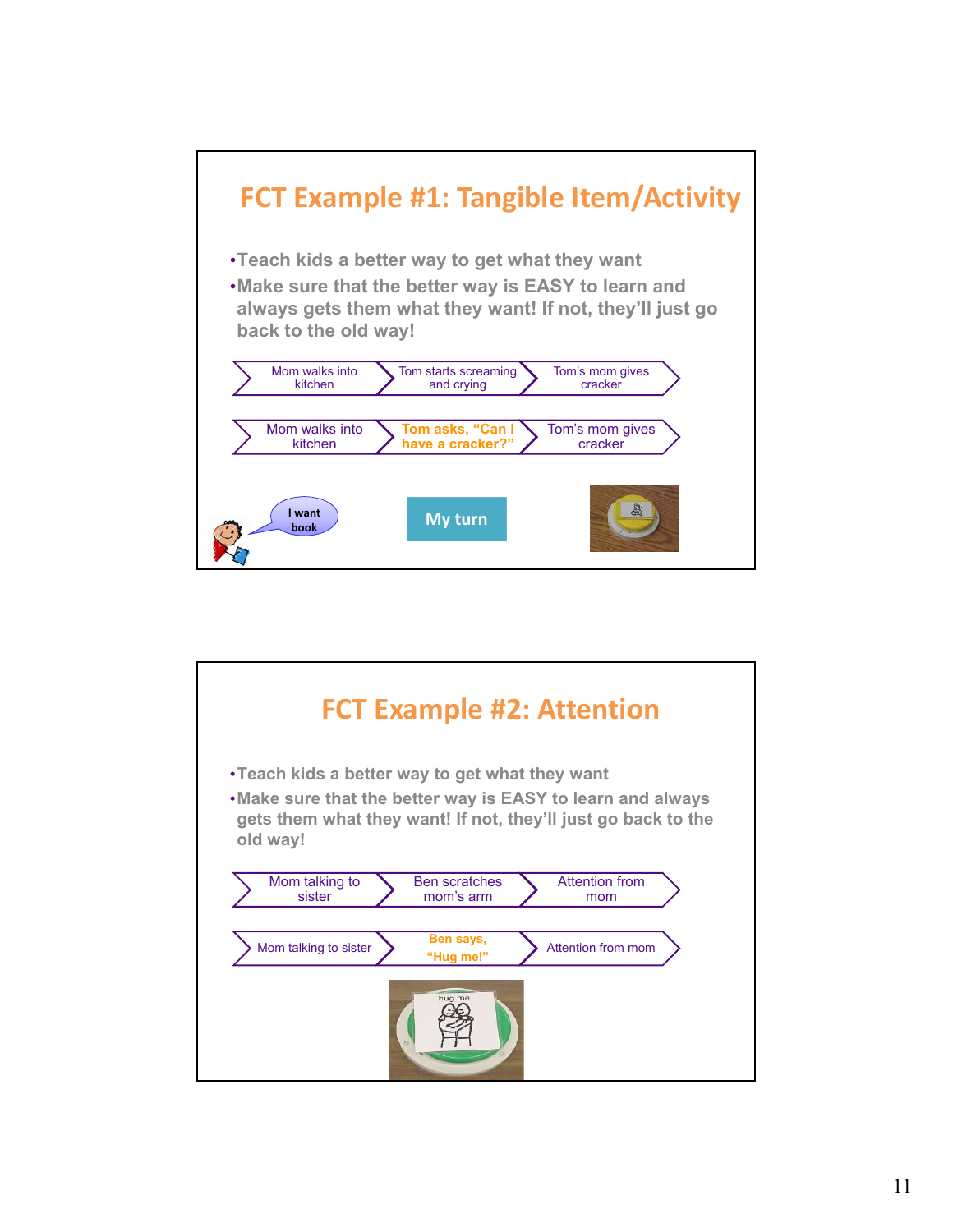

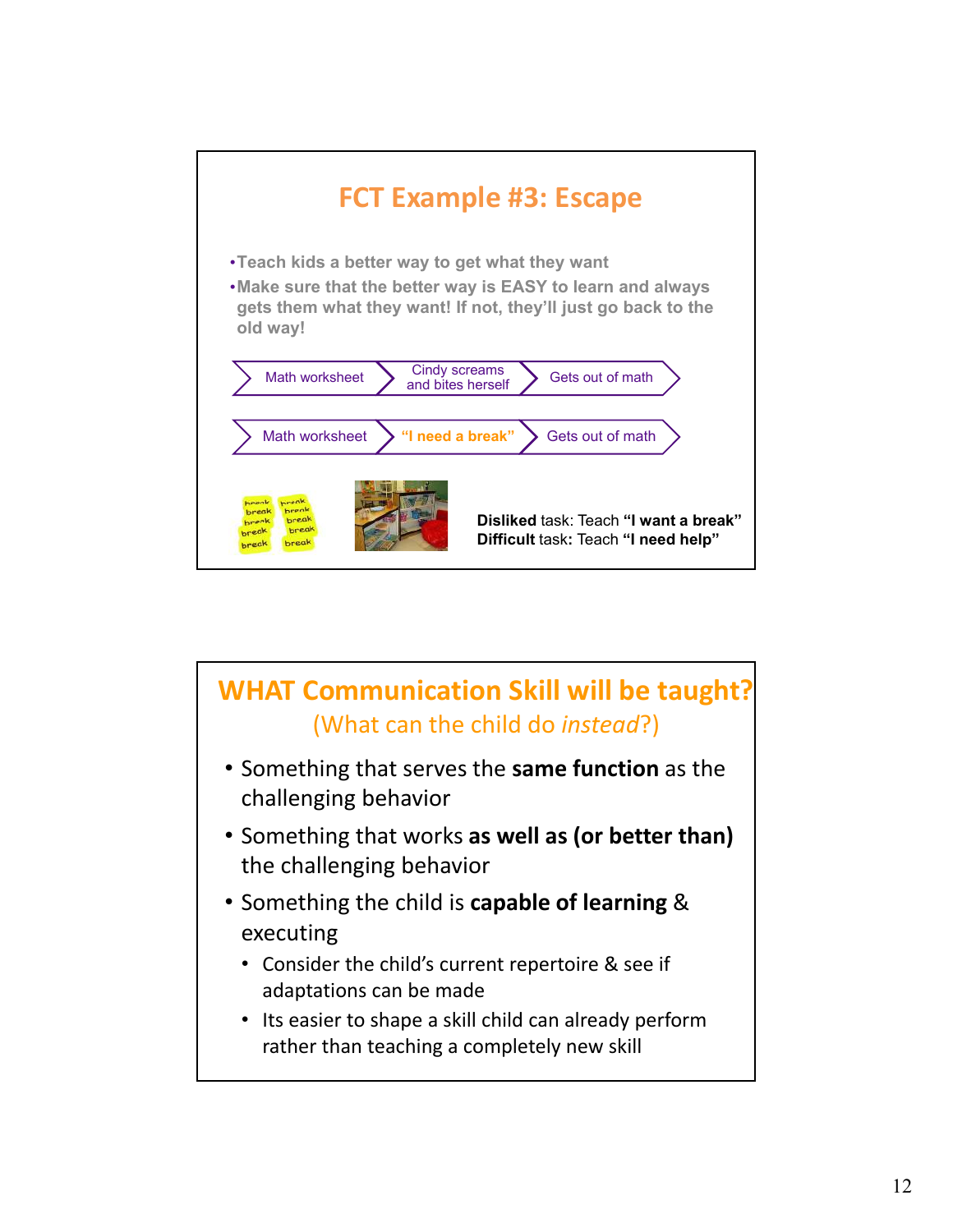

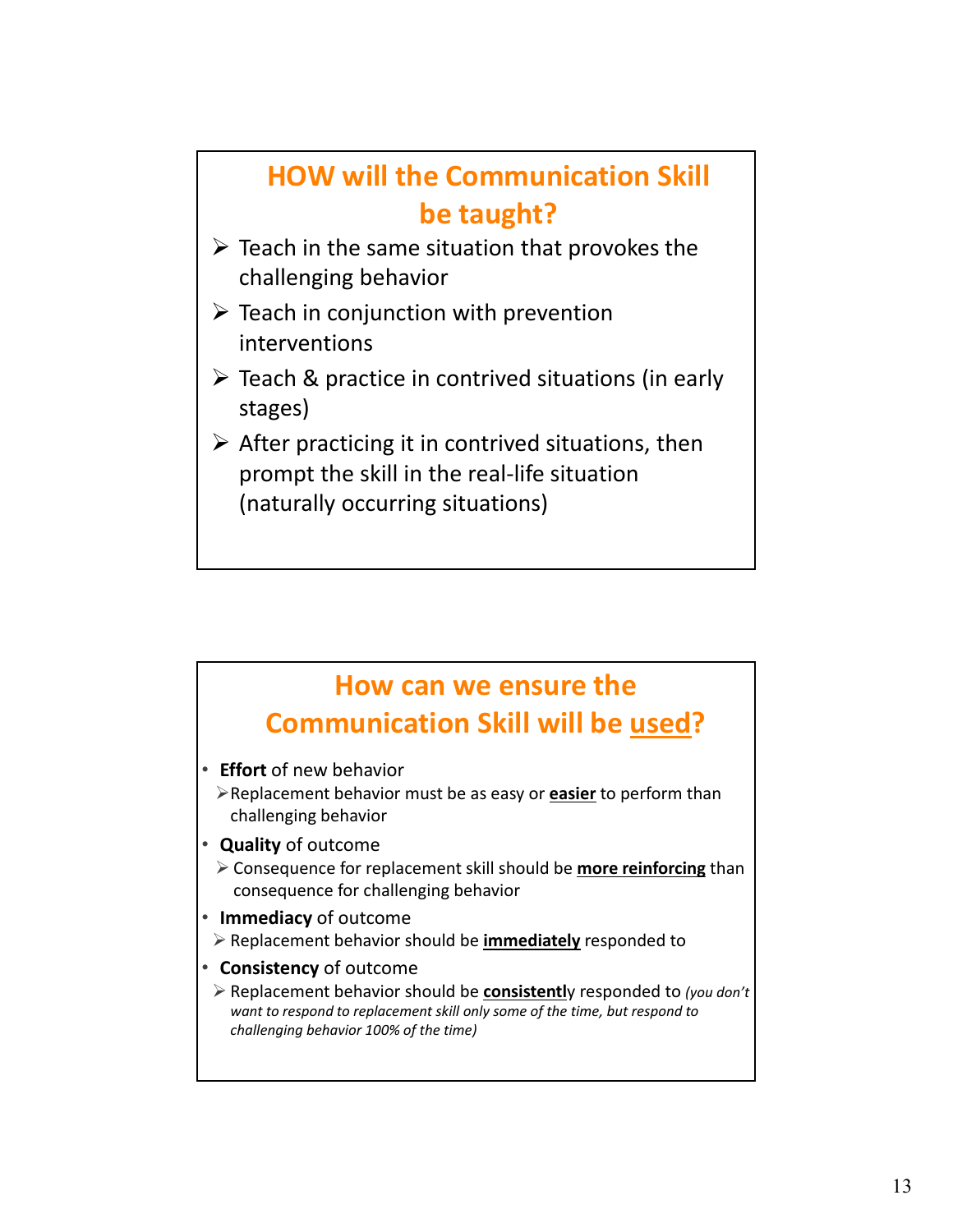### **HOW will the Communication Skill be taught?**  $\triangleright$  Teach in the same situation that provokes the challenging behavior  $\triangleright$  Teach in conjunction with prevention interventions

- $\triangleright$  Teach & practice in contrived situations (in early stages)
- $\triangleright$  After practicing it in contrived situations, then prompt the skill in the real‐life situation (naturally occurring situations)

## **How can we ensure the Communication Skill will be used?**

- **Effort** of new behavior
	- Replacement behavior must be as easy or **easier** to perform than challenging behavior
- **Quality** of outcome
	- Consequence for replacement skill should be **more reinforcing** than consequence for challenging behavior
- **Immediacy** of outcome
- Replacement behavior should be **immediately** responded to
- **Consistency** of outcome
- Replacement behavior should be **consistentl**y responded to *(you don't want to respond to replacement skill only some of the time, but respond to challenging behavior 100% of the time)*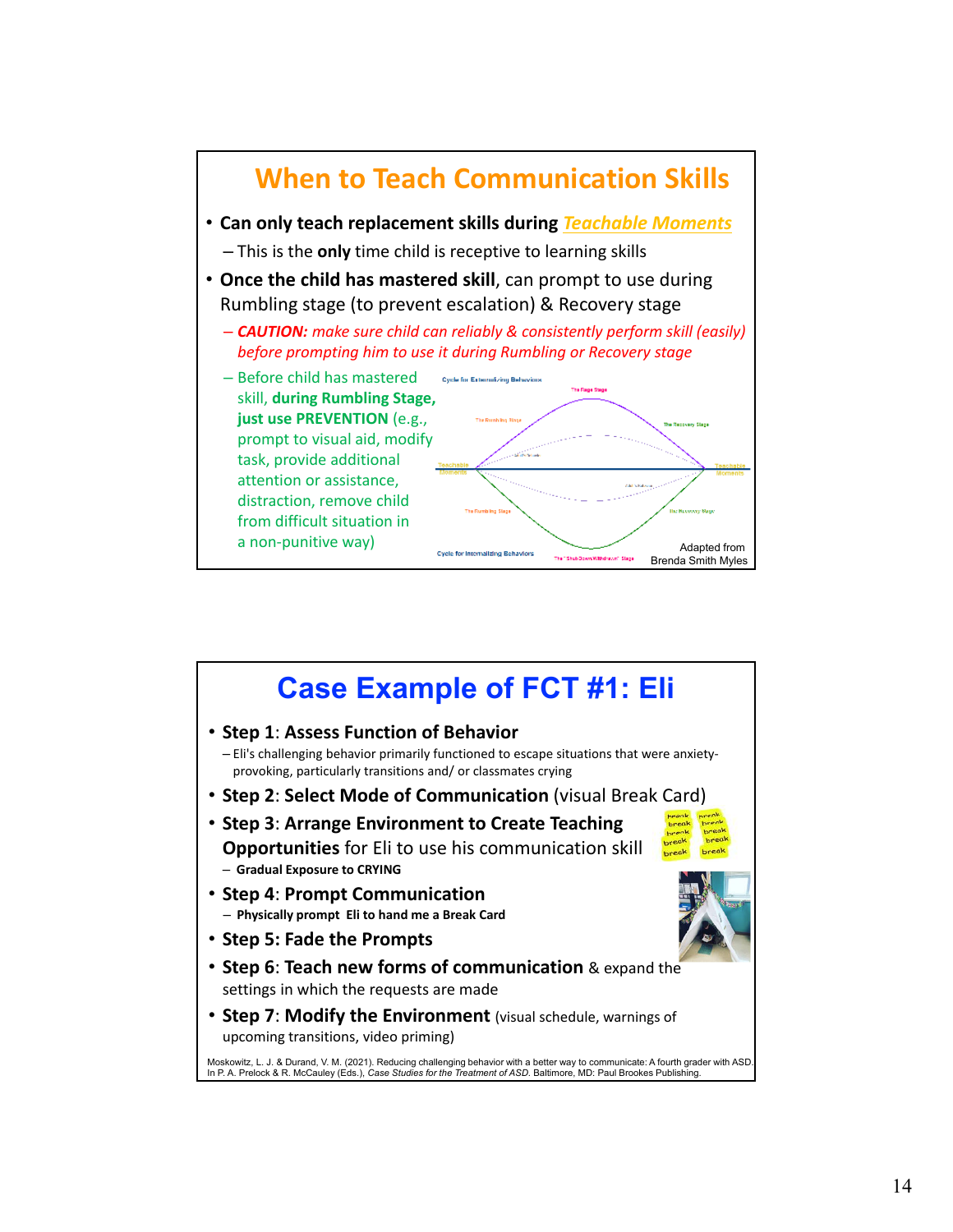

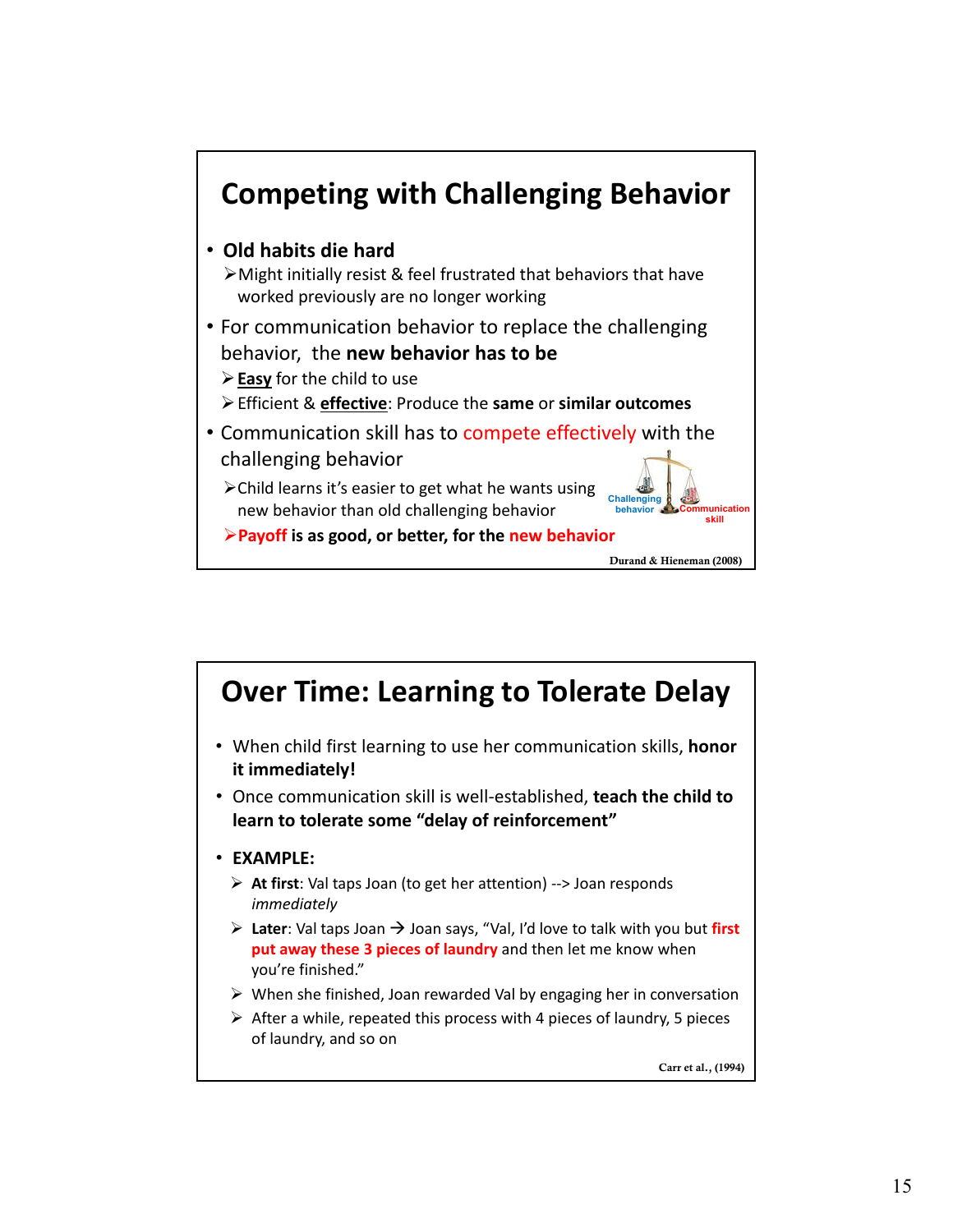

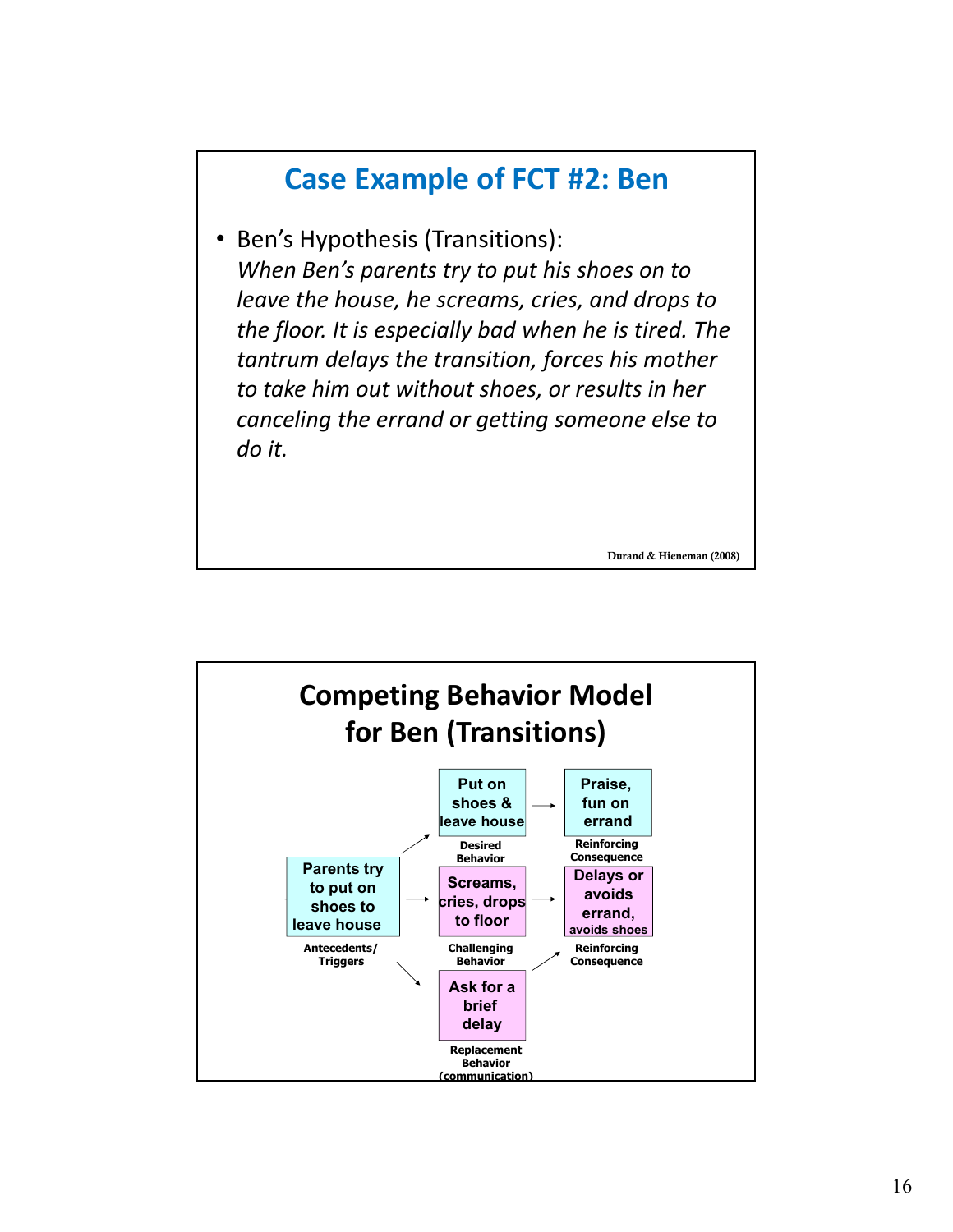## **Case Example of FCT #2: Ben**

• Ben's Hypothesis (Transitions): *When Ben's parents try to put his shoes on to leave the house, he screams, cries, and drops to the floor. It is especially bad when he is tired. The tantrum delays the transition, forces his mother to take him out without shoes, or results in her canceling the errand or getting someone else to do it.*

Durand & Hieneman (2008)

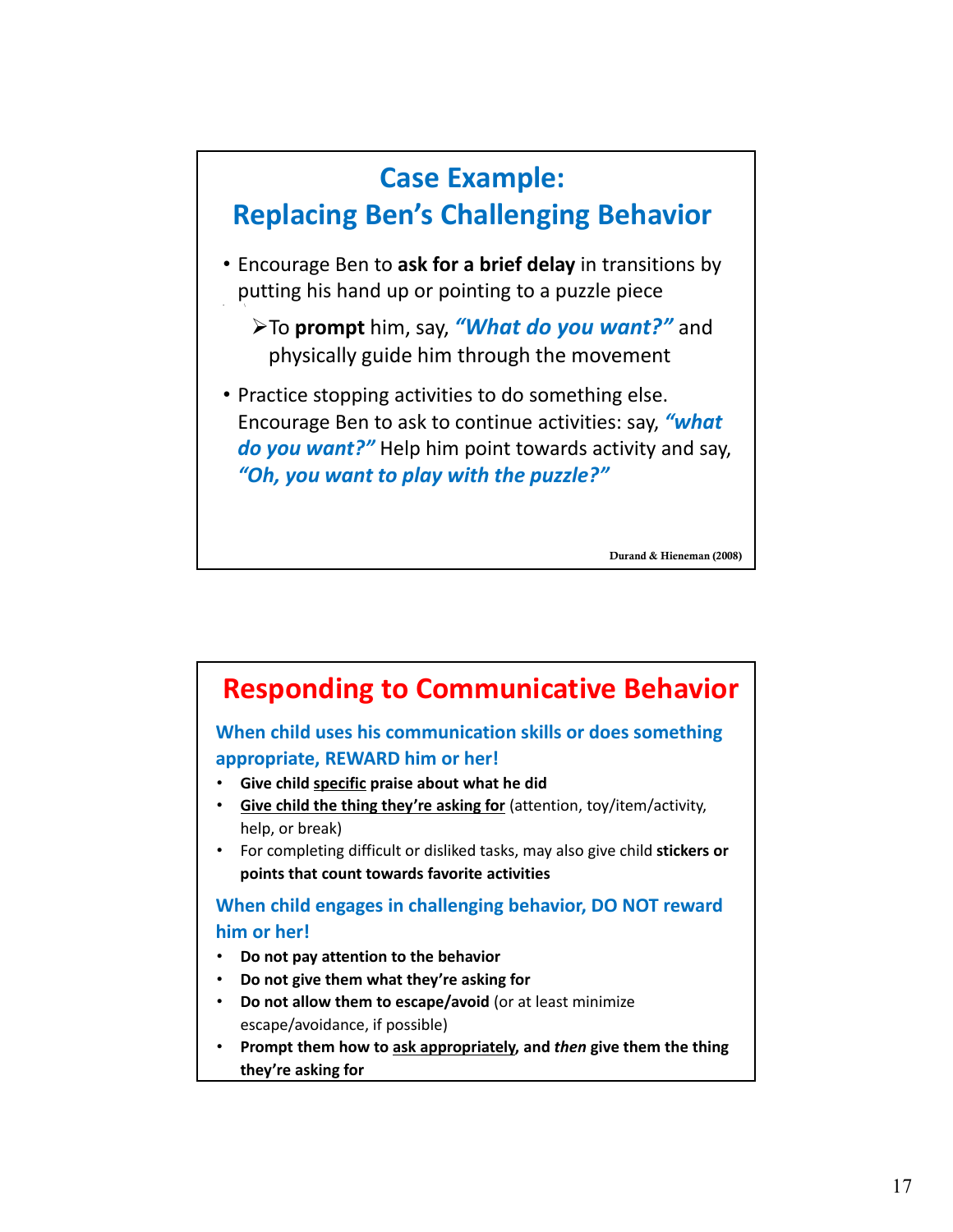

Durand & Hieneman (2008)

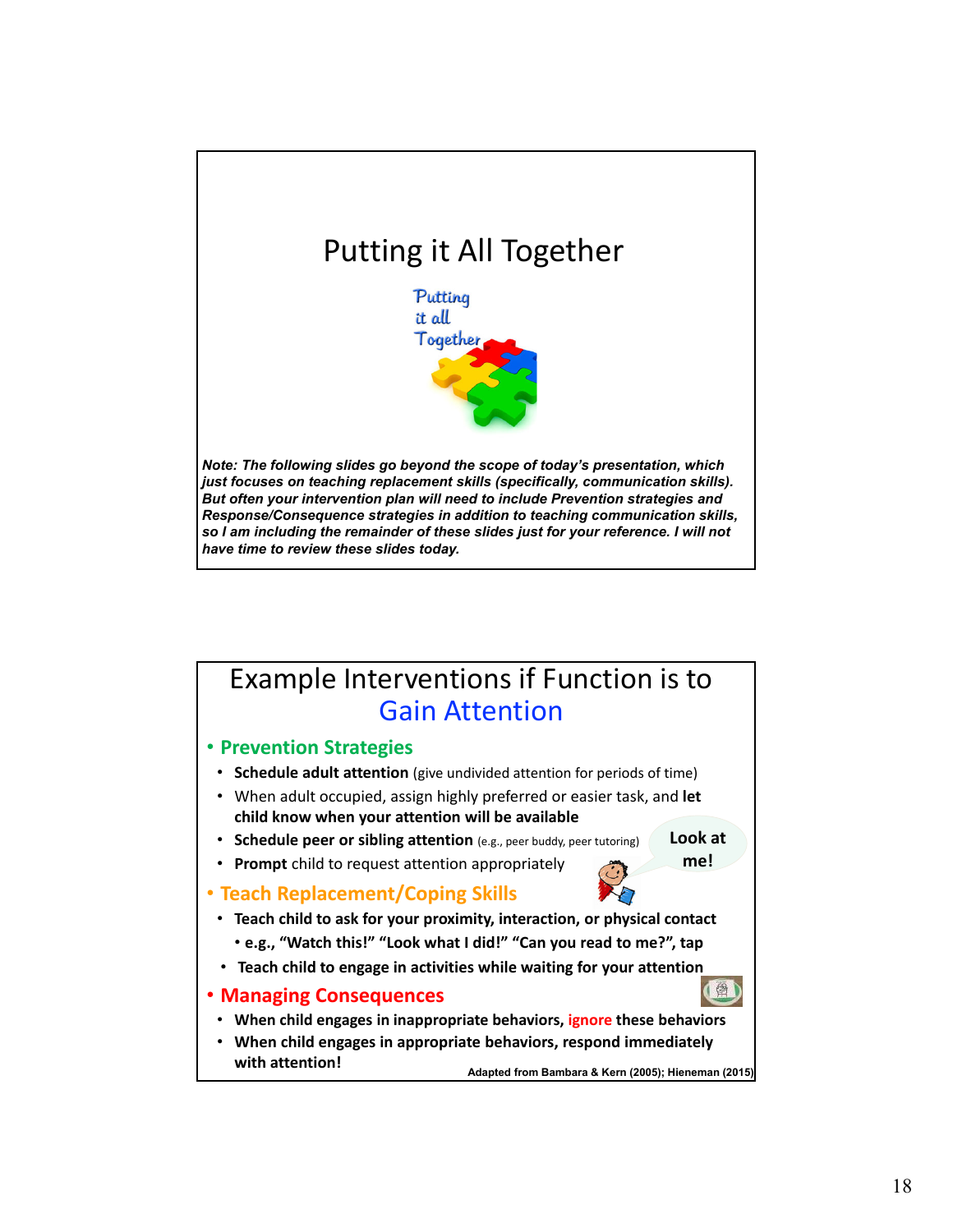

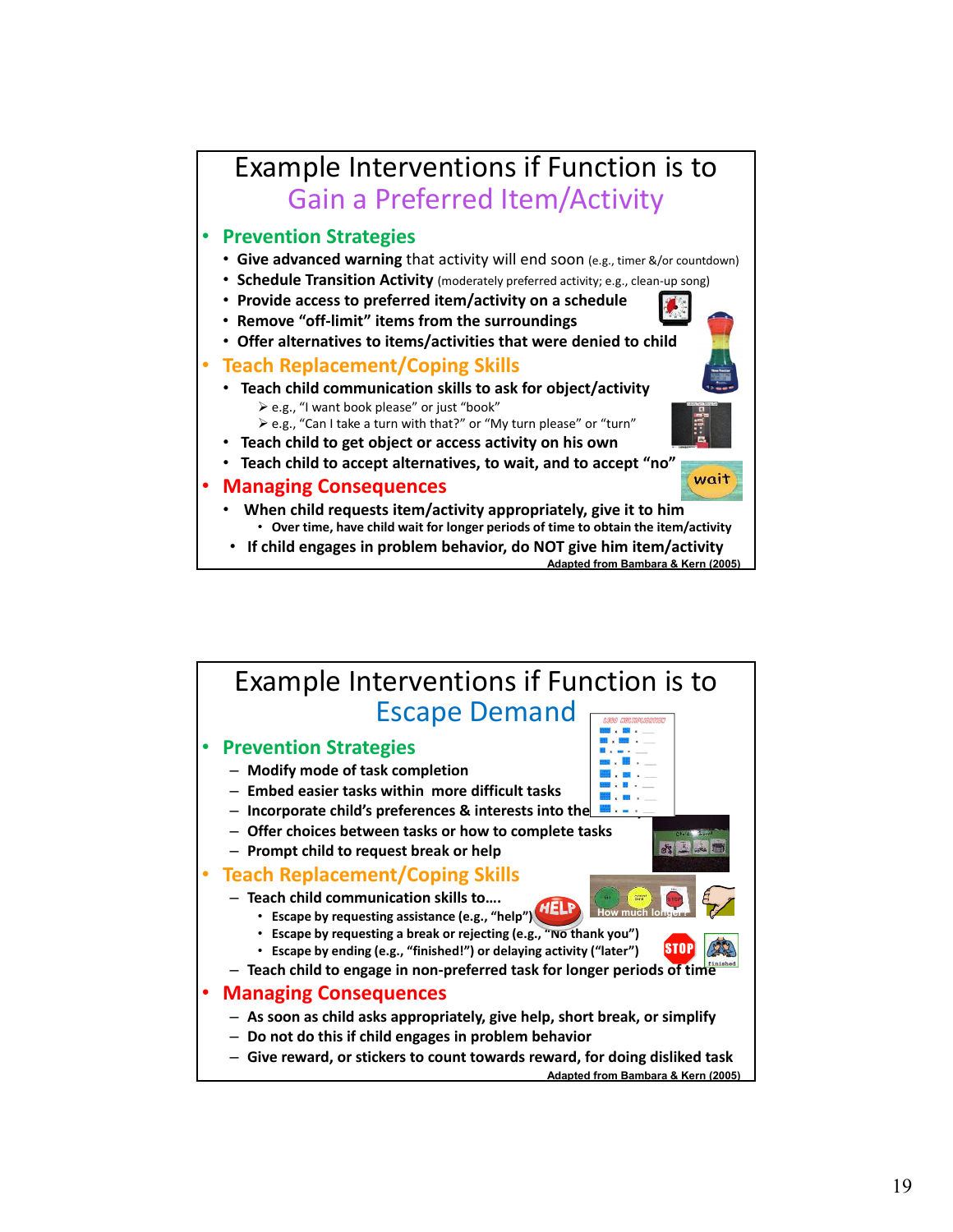

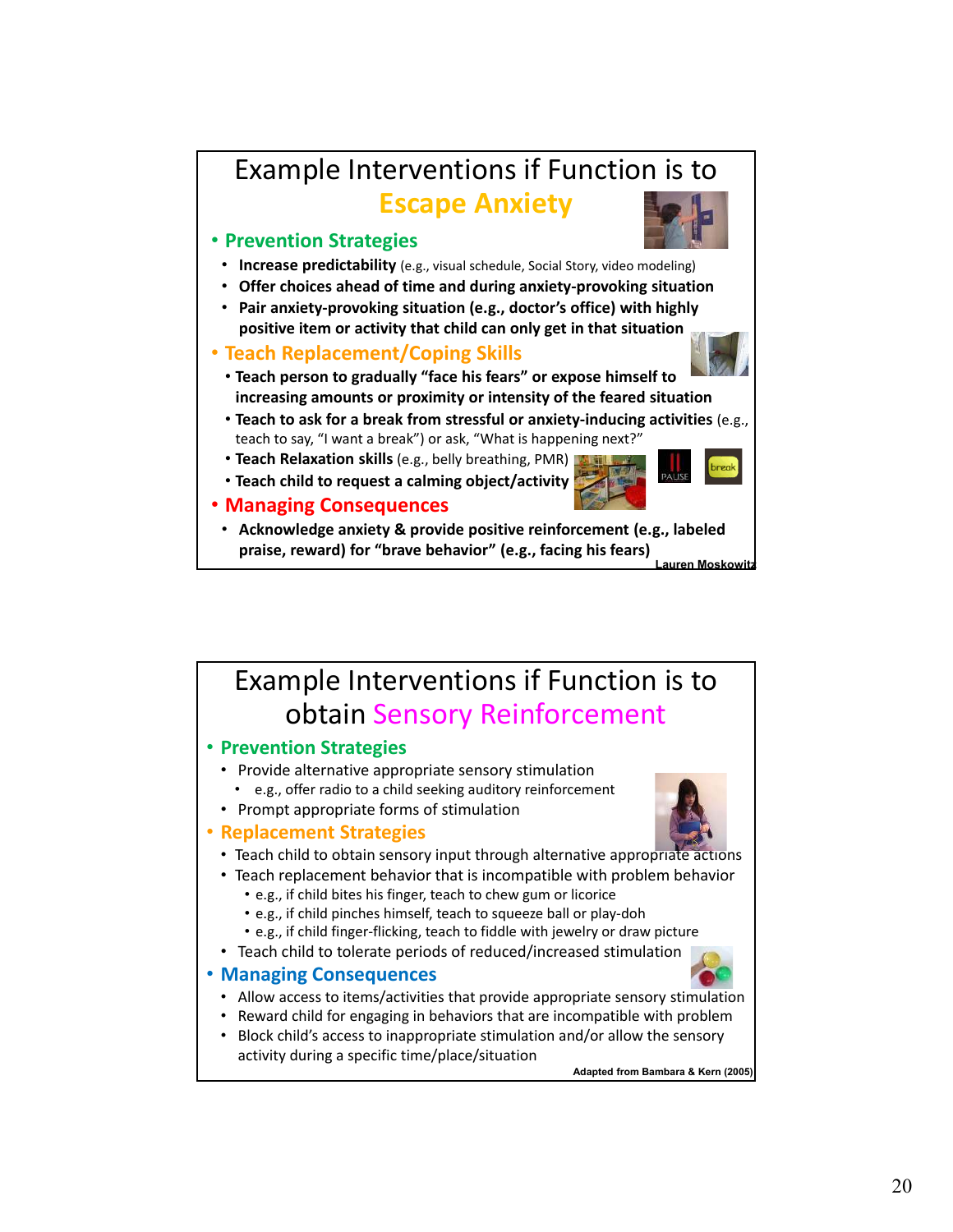### Example Interventions if Function is to **Escape Anxiety**

### ï **Prevention Strategies**



- ï **Offer choices ahead of time and during anxiety‐provoking situation**
- ï **Pair anxiety‐provoking situation (e.g., doctor's office) with highly positive item or activity that child can only get in that situation**

#### ï **Teach Replacement/Coping Skills**



- ï **Teach to ask for a break from stressful or anxiety‐inducing activities** (e.g., teach to say, "I want a break") or ask, "What is happening next?"
- **Teach Relaxation skills** (e.g., belly breathing, PMR)
- ï **Teach child to request a calming object/activity**



- ï **Managing Consequences**
- ï **Acknowledge anxiety & provide positive reinforcement (e.g., labeled praise, reward) for "brave behavior" (e.g., facing his fears) Lauren Moskowitz**

## Example Interventions if Function is to obtain Sensory Reinforcement

#### ï **Prevention Strategies**

- Provide alternative appropriate sensory stimulation • e.g., offer radio to a child seeking auditory reinforcement
- Prompt appropriate forms of stimulation

#### ï **Replacement Strategies**

- Teach child to obtain sensory input through alternative appropriate actions
- Teach replacement behavior that is incompatible with problem behavior
	- e.g., if child bites his finger, teach to chew gum or licorice
	- e.g., if child pinches himself, teach to squeeze ball or play-doh
	- e.g., if child finger-flicking, teach to fiddle with jewelry or draw picture
- Teach child to tolerate periods of reduced/increased stimulation

#### ï **Managing Consequences**

- Allow access to items/activities that provide appropriate sensory stimulation
- Reward child for engaging in behaviors that are incompatible with problem
- Block child's access to inappropriate stimulation and/or allow the sensory activity during a specific time/place/situation

**Adapted from Bambara & Kern (2005)**